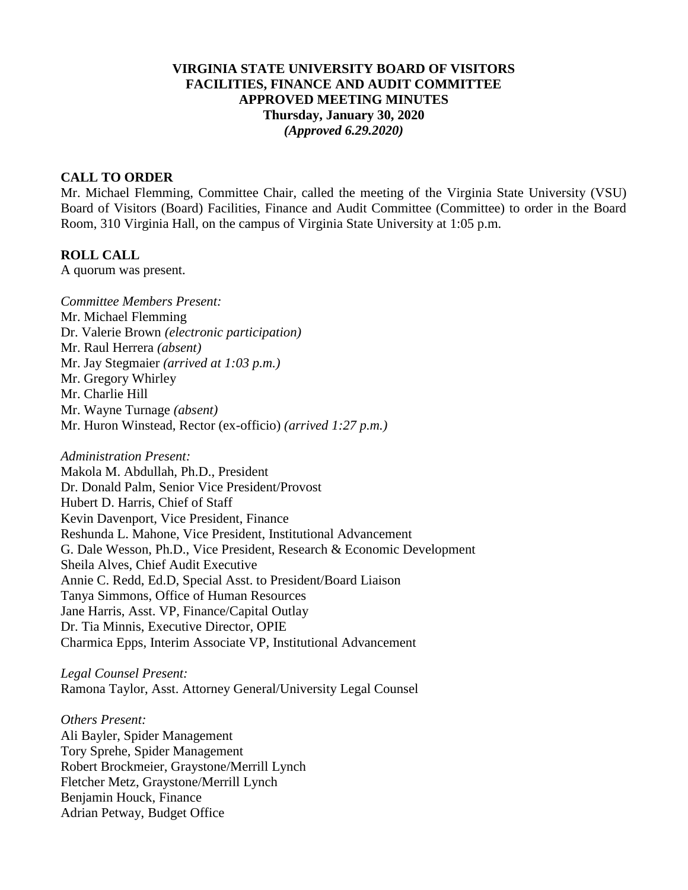#### **VIRGINIA STATE UNIVERSITY BOARD OF VISITORS FACILITIES, FINANCE AND AUDIT COMMITTEE APPROVED MEETING MINUTES Thursday, January 30, 2020** *(Approved 6.29.2020)*

#### **CALL TO ORDER**

Mr. Michael Flemming, Committee Chair, called the meeting of the Virginia State University (VSU) Board of Visitors (Board) Facilities, Finance and Audit Committee (Committee) to order in the Board Room, 310 Virginia Hall, on the campus of Virginia State University at 1:05 p.m.

#### **ROLL CALL**

A quorum was present.

*Committee Members Present:* Mr. Michael Flemming Dr. Valerie Brown *(electronic participation)* Mr. Raul Herrera *(absent)* Mr. Jay Stegmaier *(arrived at 1:03 p.m.)* Mr. Gregory Whirley Mr. Charlie Hill Mr. Wayne Turnage *(absent)* Mr. Huron Winstead, Rector (ex-officio) *(arrived 1:27 p.m.)*

*Administration Present:*

Makola M. Abdullah, Ph.D., President Dr. Donald Palm, Senior Vice President/Provost Hubert D. Harris, Chief of Staff Kevin Davenport, Vice President, Finance Reshunda L. Mahone, Vice President, Institutional Advancement G. Dale Wesson, Ph.D., Vice President, Research & Economic Development Sheila Alves, Chief Audit Executive Annie C. Redd, Ed.D, Special Asst. to President/Board Liaison Tanya Simmons, Office of Human Resources Jane Harris, Asst. VP, Finance/Capital Outlay Dr. Tia Minnis, Executive Director, OPIE Charmica Epps, Interim Associate VP, Institutional Advancement

*Legal Counsel Present:* Ramona Taylor, Asst. Attorney General/University Legal Counsel

*Others Present:* Ali Bayler, Spider Management Tory Sprehe, Spider Management Robert Brockmeier, Graystone/Merrill Lynch Fletcher Metz, Graystone/Merrill Lynch Benjamin Houck, Finance Adrian Petway, Budget Office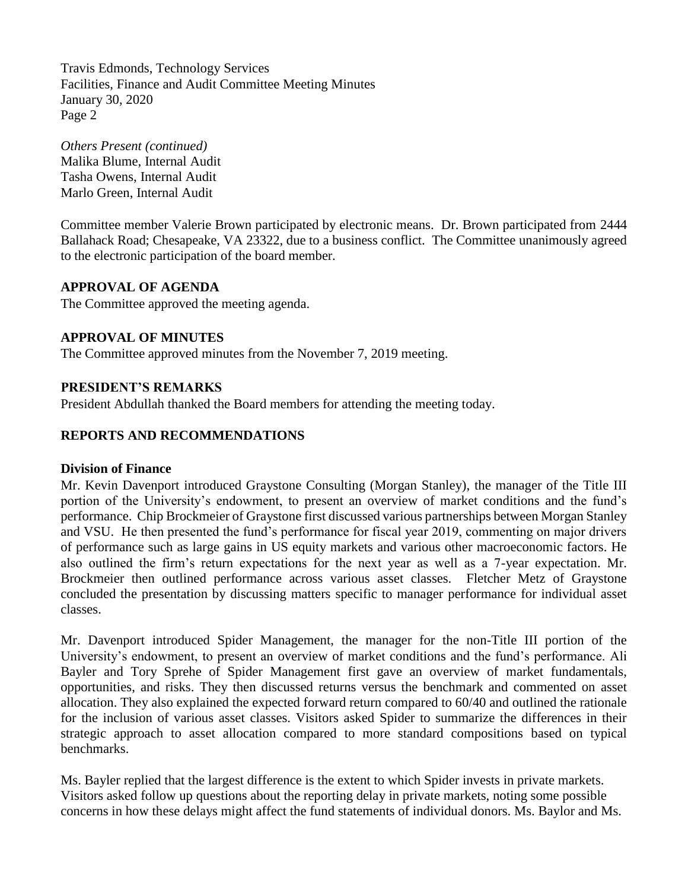Travis Edmonds, Technology Services Facilities, Finance and Audit Committee Meeting Minutes January 30, 2020 Page 2

*Others Present (continued)* Malika Blume, Internal Audit Tasha Owens, Internal Audit Marlo Green, Internal Audit

Committee member Valerie Brown participated by electronic means. Dr. Brown participated from 2444 Ballahack Road; Chesapeake, VA 23322, due to a business conflict. The Committee unanimously agreed to the electronic participation of the board member.

## **APPROVAL OF AGENDA**

The Committee approved the meeting agenda.

## **APPROVAL OF MINUTES**

The Committee approved minutes from the November 7, 2019 meeting.

## **PRESIDENT'S REMARKS**

President Abdullah thanked the Board members for attending the meeting today.

# **REPORTS AND RECOMMENDATIONS**

#### **Division of Finance**

Mr. Kevin Davenport introduced Graystone Consulting (Morgan Stanley), the manager of the Title III portion of the University's endowment, to present an overview of market conditions and the fund's performance. Chip Brockmeier of Graystone first discussed various partnerships between Morgan Stanley and VSU. He then presented the fund's performance for fiscal year 2019, commenting on major drivers of performance such as large gains in US equity markets and various other macroeconomic factors. He also outlined the firm's return expectations for the next year as well as a 7-year expectation. Mr. Brockmeier then outlined performance across various asset classes. Fletcher Metz of Graystone concluded the presentation by discussing matters specific to manager performance for individual asset classes.

Mr. Davenport introduced Spider Management, the manager for the non-Title III portion of the University's endowment, to present an overview of market conditions and the fund's performance. Ali Bayler and Tory Sprehe of Spider Management first gave an overview of market fundamentals, opportunities, and risks. They then discussed returns versus the benchmark and commented on asset allocation. They also explained the expected forward return compared to 60/40 and outlined the rationale for the inclusion of various asset classes. Visitors asked Spider to summarize the differences in their strategic approach to asset allocation compared to more standard compositions based on typical benchmarks.

Ms. Bayler replied that the largest difference is the extent to which Spider invests in private markets. Visitors asked follow up questions about the reporting delay in private markets, noting some possible concerns in how these delays might affect the fund statements of individual donors. Ms. Baylor and Ms.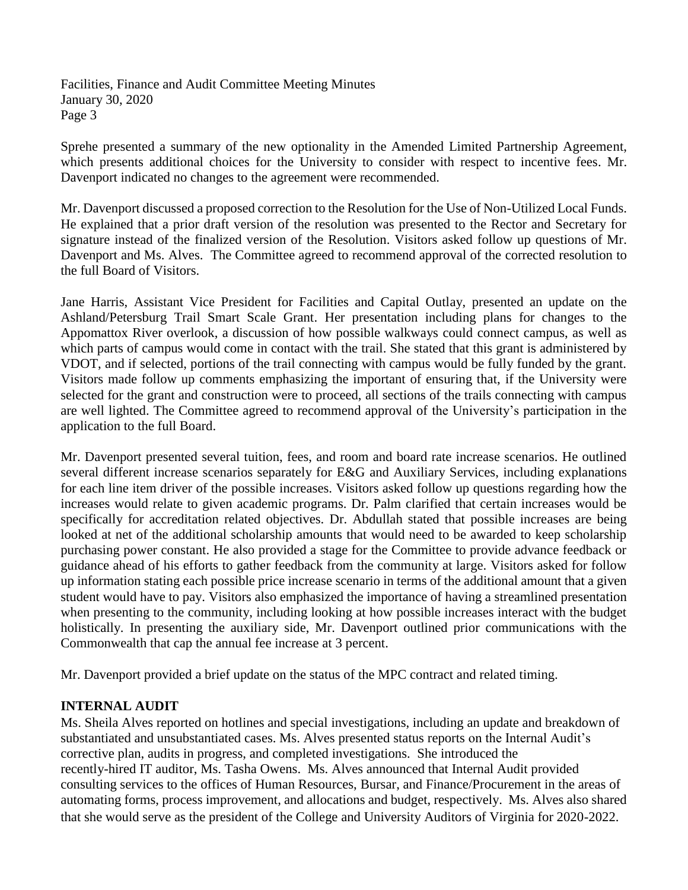Facilities, Finance and Audit Committee Meeting Minutes January 30, 2020 Page 3

Sprehe presented a summary of the new optionality in the Amended Limited Partnership Agreement, which presents additional choices for the University to consider with respect to incentive fees. Mr. Davenport indicated no changes to the agreement were recommended.

Mr. Davenport discussed a proposed correction to the Resolution for the Use of Non-Utilized Local Funds. He explained that a prior draft version of the resolution was presented to the Rector and Secretary for signature instead of the finalized version of the Resolution. Visitors asked follow up questions of Mr. Davenport and Ms. Alves. The Committee agreed to recommend approval of the corrected resolution to the full Board of Visitors.

Jane Harris, Assistant Vice President for Facilities and Capital Outlay, presented an update on the Ashland/Petersburg Trail Smart Scale Grant. Her presentation including plans for changes to the Appomattox River overlook, a discussion of how possible walkways could connect campus, as well as which parts of campus would come in contact with the trail. She stated that this grant is administered by VDOT, and if selected, portions of the trail connecting with campus would be fully funded by the grant. Visitors made follow up comments emphasizing the important of ensuring that, if the University were selected for the grant and construction were to proceed, all sections of the trails connecting with campus are well lighted. The Committee agreed to recommend approval of the University's participation in the application to the full Board.

Mr. Davenport presented several tuition, fees, and room and board rate increase scenarios. He outlined several different increase scenarios separately for E&G and Auxiliary Services, including explanations for each line item driver of the possible increases. Visitors asked follow up questions regarding how the increases would relate to given academic programs. Dr. Palm clarified that certain increases would be specifically for accreditation related objectives. Dr. Abdullah stated that possible increases are being looked at net of the additional scholarship amounts that would need to be awarded to keep scholarship purchasing power constant. He also provided a stage for the Committee to provide advance feedback or guidance ahead of his efforts to gather feedback from the community at large. Visitors asked for follow up information stating each possible price increase scenario in terms of the additional amount that a given student would have to pay. Visitors also emphasized the importance of having a streamlined presentation when presenting to the community, including looking at how possible increases interact with the budget holistically. In presenting the auxiliary side, Mr. Davenport outlined prior communications with the Commonwealth that cap the annual fee increase at 3 percent.

Mr. Davenport provided a brief update on the status of the MPC contract and related timing.

# **INTERNAL AUDIT**

Ms. Sheila Alves reported on hotlines and special investigations, including an update and breakdown of substantiated and unsubstantiated cases. Ms. Alves presented status reports on the Internal Audit's corrective plan, audits in progress, and completed investigations. She introduced the recently-hired IT auditor, Ms. Tasha Owens. Ms. Alves announced that Internal Audit provided consulting services to the offices of Human Resources, Bursar, and Finance/Procurement in the areas of automating forms, process improvement, and allocations and budget, respectively. Ms. Alves also shared that she would serve as the president of the College and University Auditors of Virginia for 2020-2022.